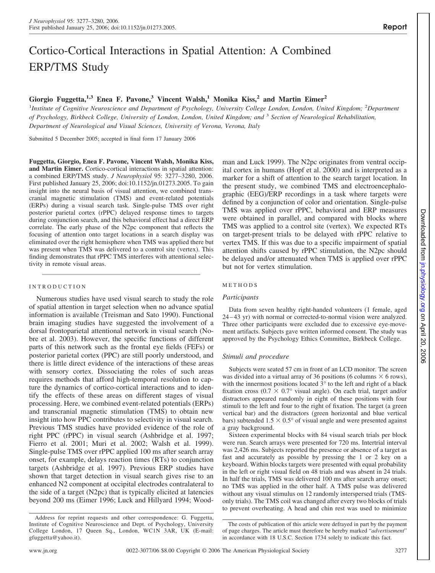# Cortico-Cortical Interactions in Spatial Attention: A Combined ERP/TMS Study

## **Giorgio Fuggetta,1,3 Enea F. Pavone,<sup>3</sup> Vincent Walsh,<sup>1</sup> Monika Kiss,<sup>2</sup> and Martin Eimer<sup>2</sup>**

<sup>1</sup>Institute of Cognitive Neuroscience and Department of Psychology, University College London, London, United Kingdom; <sup>2</sup>Department *of Psychology, Birkbeck College, University of London, London, United Kingdom; and* <sup>3</sup> *Section of Neurological Rehabilitation, Department of Neurological and Visual Sciences, University of Verona, Verona, Italy*

Submitted 5 December 2005; accepted in final form 17 January 2006

**Fuggetta, Giorgio, Enea F. Pavone, Vincent Walsh, Monika Kiss, and Martin Eimer.** Cortico-cortical interactions in spatial attention: a combined ERP/TMS study. *J Neurophysiol* 95: 3277–3280, 2006. First published January 25, 2006; doi:10.1152/jn.01273.2005. To gain insight into the neural basis of visual attention, we combined transcranial magnetic stimulation (TMS) and event-related potentials (ERPs) during a visual search task. Single-pulse TMS over right posterior parietal cortex (rPPC) delayed response times to targets during conjunction search, and this behavioral effect had a direct ERP correlate. The early phase of the N2pc component that reflects the focusing of attention onto target locations in a search display was eliminated over the right hemisphere when TMS was applied there but was present when TMS was delivered to a control site (vertex). This finding demonstrates that rPPC TMS interferes with attentional selectivity in remote visual areas.

#### INTRODUCTION

Numerous studies have used visual search to study the role of spatial attention in target selection when no advance spatial information is available (Treisman and Sato 1990). Functional brain imaging studies have suggested the involvement of a dorsal frontoparietal attentional network in visual search (Nobre et al. 2003). However, the specific functions of different parts of this network such as the frontal eye fields (FEFs) or posterior parietal cortex (PPC) are still poorly understood, and there is little direct evidence of the interactions of these areas with sensory cortex. Dissociating the roles of such areas requires methods that afford high-temporal resolution to capture the dynamics of cortico-cortical interactions and to identify the effects of these areas on different stages of visual processing. Here, we combined event-related potentials (ERPs) and transcranial magnetic stimulation (TMS) to obtain new insight into how PPC contributes to selectivity in visual search. Previous TMS studies have provided evidence of the role of right PPC (rPPC) in visual search (Ashbridge et al. 1997; Fierro et al. 2001; Muri et al. 2002; Walsh et al. 1999). Single-pulse TMS over rPPC applied 100 ms after search array onset, for example, delays reaction times (RTs) to conjunction targets (Ashbridge et al. 1997). Previous ERP studies have shown that target detection in visual search gives rise to an enhanced N2 component at occipital electrodes contralateral to the side of a target (N2pc) that is typically elicited at latencies beyond 200 ms (Eimer 1996; Luck and Hillyard 1994; Woodman and Luck 1999). The N2pc originates from ventral occipital cortex in humans (Hopf et al. 2000) and is interpreted as a marker for a shift of attention to the search target location. In the present study, we combined TMS and electroencephalographic (EEG)/ERP recordings in a task where targets were defined by a conjunction of color and orientation. Single-pulse TMS was applied over rPPC, behavioral and ERP measures were obtained in parallel, and compared with blocks where TMS was applied to a control site (vertex). We expected RTs on target-present trials to be delayed with rPPC relative to vertex TMS. If this was due to a specific impairment of spatial attention shifts caused by rPPC stimulation, the N2pc should be delayed and/or attenuated when TMS is applied over rPPC but not for vertex stimulation.

#### METHODS

#### *Participants*

Data from seven healthy right-handed volunteers (1 female, aged 24 – 43 yr) with normal or corrected-to-normal vision were analyzed. Three other participants were excluded due to excessive eye-movement artifacts. Subjects gave written informed consent. The study was approved by the Psychology Ethics Committee, Birkbeck College.

#### *Stimuli and procedure*

Subjects were seated 57 cm in front of an LCD monitor. The screen was divided into a virtual array of 36 positions (6 columns  $\times$  6 rows), with the innermost positions located 3° to the left and right of a black fixation cross ( $0.7 \times 0.7$ ° visual angle). On each trial, target and/or distractors appeared randomly in eight of these positions with four stimuli to the left and four to the right of fixation. The target (a green vertical bar) and the distractors (green horizontal and blue vertical bars) subtended  $1.5 \times 0.5^{\circ}$  of visual angle and were presented against a gray background.

Sixteen experimental blocks with 84 visual search trials per block were run. Search arrays were presented for 720 ms. Intertrial interval was 2,426 ms. Subjects reported the presence or absence of a target as fast and accurately as possible by pressing the 1 or 2 key on a keyboard. Within blocks targets were presented with equal probability in the left or right visual field on 48 trials and was absent in 24 trials. In half the trials, TMS was delivered 100 ms after search array onset; no TMS was applied in the other half. A TMS pulse was delivered without any visual stimulus on 12 randomly interspersed trials (TMSonly trials). The TMS coil was changed after every two blocks of trials to prevent overheating. A head and chin rest was used to minimize

Address for reprint requests and other correspondence: G. Fuggetta, Institute of Cognitive Neuroscience and Dept. of Psychology, University College London, 17 Queen Sq., London, WC1N 3AR, UK (E-mail: gfuggetta@yahoo.it).

The costs of publication of this article were defrayed in part by the payment of page charges. The article must therefore be hereby marked "*advertisement*" in accordance with 18 U.S.C. Section 1734 solely to indicate this fact.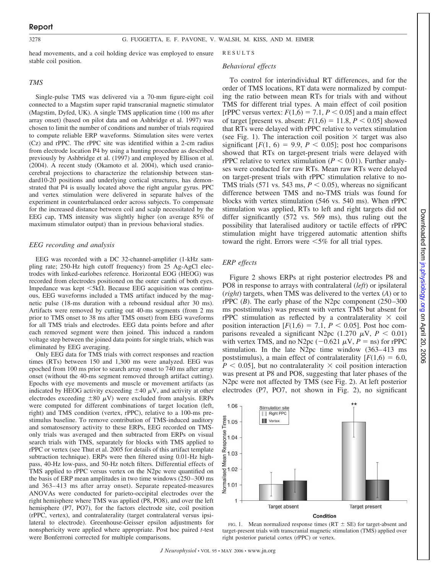#### 3278 G. FUGGETTA, E. F. PAVONE, V. WALSH, M. KISS, AND M. EIMER

head movements, and a coil holding device was employed to ensure stable coil position.

#### *TMS*

Single-pulse TMS was delivered via a 70-mm figure-eight coil connected to a Magstim super rapid transcranial magnetic stimulator (Magstim, Dyfed, UK). A single TMS application time (100 ms after array onset) (based on pilot data and on Ashbridge et al. 1997) was chosen to limit the number of conditions and number of trials required to compute reliable ERP waveforms. Stimulation sites were vertex (Cz) and rPPC. The rPPC site was identified within a 2-cm radius from electrode location P4 by using a hunting procedure as described previously by Ashbridge et al. (1997) and employed by Ellison et al. (2004). A recent study (Okamoto et al. 2004), which used craniocerebral projections to characterize the relationship between standard10-20 positions and underlying cortical structures, has demonstrated that P4 is usually located above the right angular gyrus. PPC and vertex stimulation were delivered in separate halves of the experiment in counterbalanced order across subjects. To compensate for the increased distance between coil and scalp necessitated by the EEG cap, TMS intensity was slightly higher (on average 85% of maximum stimulator output) than in previous behavioral studies.

#### *EEG recording and analysis*

EEG was recorded with a DC 32-channel-amplifier (1-kHz sampling rate; 250-Hz high cutoff frequency) from 25 Ag-AgCl electrodes with linked-earlobes reference. Horizontal EOG (HEOG) was recorded from electrodes positioned on the outer canthi of both eyes. Impedance was kept  $\langle 5k\Omega$ . Because EEG acquisition was continuous, EEG waveforms included a TMS artifact induced by the magnetic pulse (18-ms duration with a rebound residual after 30 ms). Artifacts were removed by cutting out 40-ms segments (from 2 ms prior to TMS onset to 38 ms after TMS onset) from EEG waveforms for all TMS trials and electrodes. EEG data points before and after each removed segment were then joined. This induced a random voltage step between the joined data points for single trials, which was eliminated by EEG averaging.

Only EEG data for TMS trials with correct responses and reaction times (RTs) between 150 and 1,300 ms were analyzed. EEG was epoched from 100 ms prior to search array onset to 740 ms after array onset (without the 40-ms segment removed through artifact cutting). Epochs with eye movements and muscle or movement artifacts (as indicated by HEOG activity exceeding  $\pm 40 \mu V$ , and activity at other electrodes exceeding  $\pm 80 \mu V$ ) were excluded from analysis. ERPs were computed for different combinations of target location (left, right) and TMS condition (vertex, rPPC), relative to a 100-ms prestimulus baseline. To remove contribution of TMS-induced auditory and somatosensory activity to these ERPs, EEG recorded on TMSonly trials was averaged and then subtracted from ERPs on visual search trials with TMS, separately for blocks with TMS applied to rPPC or vertex (see Thut et al. 2005 for details of this artifact template subtraction technique). ERPs were then filtered using 0.01-Hz highpass, 40-Hz low-pass, and 50-Hz notch filters. Differential effects of TMS applied to rPPC versus vertex on the N2pc were quantified on the basis of ERP mean amplitudes in two time windows (250 –300 ms and 363– 413 ms after array onset). Separate repeated-measures ANOVAs were conducted for parieto-occipital electrodes over the right hemisphere where TMS was applied (P8, PO8), and over the left hemisphere (P7, PO7), for the factors electrode site, coil position (rPPC, vertex), and contralaterality (target contralateral versus ipsilateral to electrode). Greenhouse-Geisser epsilon adjustments for nonsphericity were applied where appropriate. Post hoc paired *t*-test were Bonferroni corrected for multiple comparisons.

RESULTS

#### *Behavioral effects*

To control for interindividual RT differences, and for the order of TMS locations, RT data were normalized by computing the ratio between mean RTs for trials with and without TMS for different trial types. A main effect of coil position [rPPC versus vertex:  $F(1,6) = 7.1$ ,  $P \le 0.05$ ] and a main effect of target [present vs. absent:  $F(1,6) = 11.8, P \le 0.05$ ] showed that RTs were delayed with rPPC relative to vertex stimulation (see Fig. 1). The interaction coil position  $\times$  target was also significant  $[F(1, 6) = 9.9, P < 0.05]$ ; post hoc comparisons showed that RTs on target-present trials were delayed with rPPC relative to vertex stimulation  $(P < 0.01)$ . Further analyses were conducted for raw RTs. Mean raw RTs were delayed on target-present trials with rPPC stimulation relative to no-TMS trials  $(571 \text{ vs. } 543 \text{ ms}, P < 0.05)$ , whereas no significant difference between TMS and no-TMS trials was found for blocks with vertex stimulation (546 vs. 540 ms). When rPPC stimulation was applied, RTs to left and right targets did not differ significantly (572 vs. 569 ms), thus ruling out the possibility that lateralised auditory or tactile effects of rPPC stimulation might have triggered automatic attention shifts toward the right. Errors were  $\leq 5\%$  for all trial types.

#### *ERP effects*

1.06

lime 1.05

sponse 1.04 Stimulation site Right PPC **III** Vertex

Figure 2 shows ERPs at right posterior electrodes P8 and PO8 in response to arrays with contralateral (*left*) or ipsilateral (*right*) targets, when TMS was delivered to the vertex (*A*) or to rPPC  $(B)$ . The early phase of the N2pc component  $(250-300)$ ms poststimulus) was present with vertex TMS but absent for rPPC stimulation as reflected by a contralaterality  $\times$  coil position interaction  $[F(1,6) = 7.1, P < 0.05]$ . Post hoc comparisons revealed a significant N2pc  $(1.270 \mu V, P < 0.01)$ with vertex TMS, and no N2pc  $(-0.621 \mu V, P = \text{ns})$  for rPPC stimulation. In the late N2pc time window (363– 413 ms poststimulus), a main effect of contralaterality  $[F(1,6) = 6.0,$  $P < 0.05$ ], but no contralaterality  $\times$  coil position interaction was present at P8 and PO8, suggesting that later phases of the N2pc were not affected by TMS (see Fig. 2). At left posterior electrodes (P7, PO7, not shown in Fig. 2), no significant

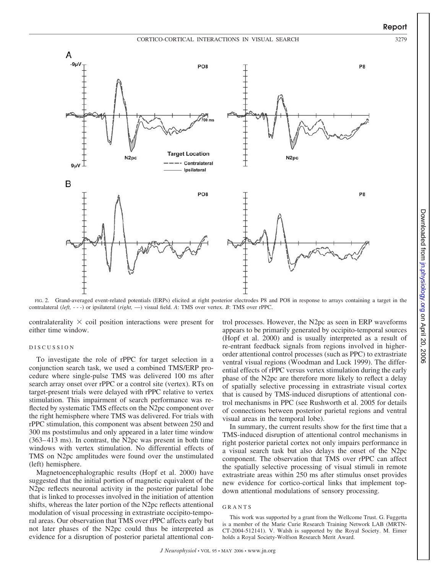

FIG. 2. Grand-averaged event-related potentials (ERPs) elicited at right posterior electrodes P8 and PO8 in response to arrays containing a target in the contralateral (*left,* - - -) or ipsilateral (*right,* —) visual field. *A*: TMS over vertex. *B*: TMS over rPPC.

contralaterality  $\times$  coil position interactions were present for either time window.

### DISCUSSION

To investigate the role of rPPC for target selection in a conjunction search task, we used a combined TMS/ERP procedure where single-pulse TMS was delivered 100 ms after search array onset over rPPC or a control site (vertex). RTs on target-present trials were delayed with rPPC relative to vertex stimulation. This impairment of search performance was reflected by systematic TMS effects on the N2pc component over the right hemisphere where TMS was delivered. For trials with rPPC stimulation, this component was absent between 250 and 300 ms poststimulus and only appeared in a later time window (363– 413 ms). In contrast, the N2pc was present in both time windows with vertex stimulation. No differential effects of TMS on N2pc amplitudes were found over the unstimulated (left) hemisphere.

Magnetoencephalographic results (Hopf et al. 2000) have suggested that the initial portion of magnetic equivalent of the N2pc reflects neuronal activity in the posterior parietal lobe that is linked to processes involved in the initiation of attention shifts, whereas the later portion of the N2pc reflects attentional modulation of visual processing in extrastriate occipito-temporal areas. Our observation that TMS over rPPC affects early but not later phases of the N2pc could thus be interpreted as evidence for a disruption of posterior parietal attentional control processes. However, the N2pc as seen in ERP waveforms appears to be primarily generated by occipito-temporal sources (Hopf et al. 2000) and is usually interpreted as a result of re-entrant feedback signals from regions involved in higherorder attentional control processes (such as PPC) to extrastriate ventral visual regions (Woodman and Luck 1999). The differential effects of rPPC versus vertex stimulation during the early phase of the N2pc are therefore more likely to reflect a delay of spatially selective processing in extrastriate visual cortex that is caused by TMS-induced disruptions of attentional control mechanisms in PPC (see Rushworth et al. 2005 for details of connections between posterior parietal regions and ventral visual areas in the temporal lobe).

In summary, the current results show for the first time that a TMS-induced disruption of attentional control mechanisms in right posterior parietal cortex not only impairs performance in a visual search task but also delays the onset of the N2pc component. The observation that TMS over rPPC can affect the spatially selective processing of visual stimuli in remote extrastriate areas within 250 ms after stimulus onset provides new evidence for cortico-cortical links that implement topdown attentional modulations of sensory processing.

#### GRANTS

This work was supported by a grant from the Wellcome Trust. G. Fuggetta is a member of the Marie Curie Research Training Network LAB (MRTN-CT-2004-512141). V. Walsh is supported by the Royal Society. M. Eimer holds a Royal Society-Wolfson Research Merit Award.